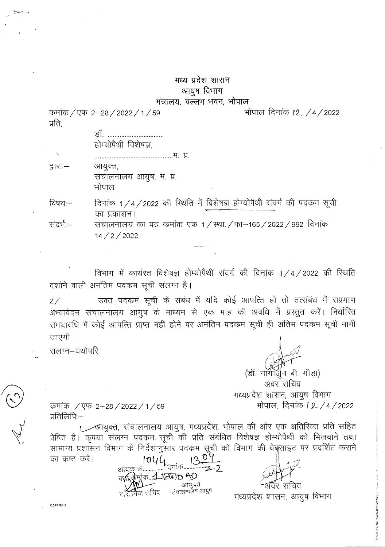## मध्य प्रदेश शासन आयूष विभाग

## मंत्रालय, वल्लभ भवन, भोपाल

कमांक / एफ 2-28 / 2022 / 1 / 59 प्रति,

> डॉ. ............................... होम्योपैथी विशेषज्ञ

द्वाराः— आयुक्त, संचालनालय आयुष, म. प्र. भोपाल

दिनांक 1/4/2022 की रिथति में विशेषज्ञ होम्योपैथी संवर्ग की पदकम सूची विषय:— का प्रकाशन।

संदर्भ:— संचालनालय का पत्र कमांक एफ 1/स्था./फा–165/2022/992 दिनांक  $14 / 2 / 2022$ 

विभाग में कार्यरत विशेषज्ञ होम्योपैथी संवर्ग की दिनांक 1/4/2022 की रिथति दर्शाने वाली अनंतिम पदकम सूची संलग्न है।

उक्त पदकम सूची के संबंध में यदि कोई आपत्ति हो तो तत्संबंध में सप्रमाण  $2/$ अभ्यावेदन संचालनालय आयुष के माध्यम से एक माह की अवधि में प्रस्तुत करें। निर्धारित समयावधि में कोई आपत्ति प्राप्त नहीं होने पर अनंतिम पदकम सूची ही अंतिम पदकम सूची मानी जाएगी।

संलग्न--यथोपरि

(डॉ. नॉगॉर्जन बी. गौडा) अवर सचिव मध्यप्रदेश शासन, आयुष विभाग भोपाल, दिनांक *12 /* 4 / 2022

भोपाल दिनांक 12 /4/2022

कमांक / एफ 2-28 / 2022 / 1 / 59 प्रतिलिपिः—

1 लीयुक्त, संचालनालय आयुष, मध्यप्रदेश, भोपाल की ओर एक अतिरिक्त प्रति सहित प्रेषित है। कृपया संलग्न पदकम सूची की प्रति संबंधित विशेषज्ञ होम्योपैथी को भिजवाने तथा सामान्य प्रशासन विभाग के निर्देशानुसार पदकम सूची को विभाग की वेबुसाइट पर प्रदर्शित कराने का कष्ट करें।

1044 .⁄दिनाक....... 雨...1. TELLITO AO आयुक्त संचालनालय आयुष 'ज सचिव

मध्यप्रदेश शासन, आयुष विभाग

K.C.PATRA-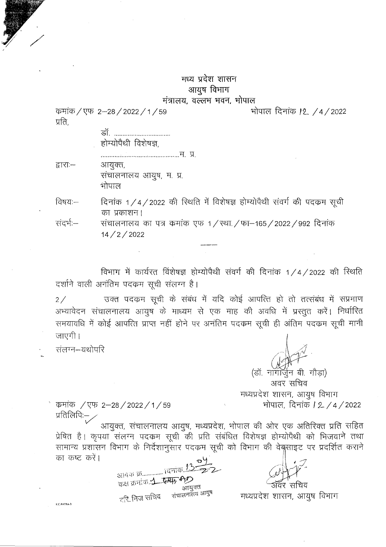## मध्य प्रदेश शासन आयूष विभाग मंत्रालय, वल्लभ भवन, भोपाल

भोपाल दिनांक *12 / 4/2022* 

कमांक / एफ. 2-28 / 2022 / 1 / 59 प्रति.

|        | डॉ.<br>होम्योपैथी विशेषज्ञ, |
|--------|-----------------------------|
|        |                             |
| हारा:— | आयुक्त,                     |
|        | संचालनालय आयुष, म. प्र.     |
|        |                             |

दिनांक 1/4/2022 की रिथति में विशेषज्ञ होम्योपैथी संवर्ग की पदकम सूची विषय:— का प्रकाशन।

संदर्भ:— संचालनालय का पत्र कमांक एफ 1 / स्था / फा–165 / 2022 / 992 दिनांक  $14/2/2022$ 

विभाग में कार्यरत विशेषज्ञ होम्योपैथी संवर्ग की दिनांक 1/4/2022 की रिथति दर्शाने वाली अनंतिम पदकम सूची संलग्न है।

उक्त पदकम सूची के संबंध में यदि कोई आपत्ति हो तो तत्संबंध में सप्रमाण  $2/$ अभ्यावेदन संचालनालय आयुष के माध्यम से एक माह की अवधि में प्रस्तुत करें। निर्धारित समयावधि में कोई आपत्ति प्राप्त नहीं होने पर अनंतिम पदकम सूची ही अंतिम पदकम सूची मानी जाएगी।

संलग्न–यथोपरि

K.C.PATRA-3

(डॉ. नागॉर्जन बी. गौडा) अवर सचिव मध्यप्रदेश शासन, आयुष विभाग भोपाल, दिनांक *1 2 / 4 /* 2022

कमांक / एफ 2-28 / 2022 / 1 / 59 प्रतिलिपिः—

आयुक्त, संचालनालय आयुष, मध्यप्रदेश, भोपाल की ओर एक अतिरिक्त प्रति सहित प्रेषित है। कृपया संलग्न पदकम सूची की प्रति संबंधित विशेषज्ञ होम्योपैथी को भिजवाने तथा सामान्य प्रशासन विभाग के निर्देशानुसार पदकम सूची को विभाग की वेबुसाइट पर प्रदर्शित कराने का कष्ट करें।

आवक क्र………….. ।दनाक.. कक्ष क्रमांक 1 स्थि आयुक्त संचालनालय आयुष तरि.निज सचिव

मध्यप्रदेश शासन, आयुष विभाग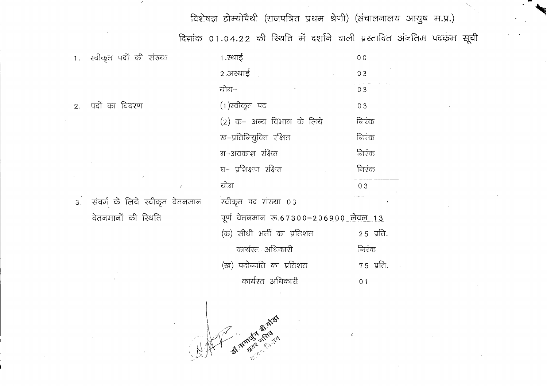विशेषज्ञ होम्योपैथी (राजपत्रित प्रथम श्रेणी) (संचालनालय आयुष म.प्र.)

दिनांक 01.04.22 की रिथति में दर्शाने वाली प्रस्तावित अंनतिम पदकम सूची

 $\mathcal{L}$ 

|    | 1. स्वीकृत पदों की संख्या      | १.स्थाई                               | 0 <sub>0</sub><br>03 |  |  |  |  |
|----|--------------------------------|---------------------------------------|----------------------|--|--|--|--|
|    |                                | 2.अस्थाई                              |                      |  |  |  |  |
|    |                                | योग–                                  | 03                   |  |  |  |  |
| 2. | पदों का विवरण                  | (1) स्वीकृत पद                        | 03                   |  |  |  |  |
|    |                                | (2) क– अन्य विभाग के लिये             | निरंक                |  |  |  |  |
|    |                                | ख-प्रतिनियुक्ति रक्षित                | निरंक                |  |  |  |  |
|    |                                | ग−अवकाश रक्षित                        | निरंक                |  |  |  |  |
|    |                                | घ– प्रशिक्षण रक्षित                   | निरंक                |  |  |  |  |
|    | ÷                              | योग                                   | 03                   |  |  |  |  |
| 3. | संवर्ग के लिये स्वीकृत वेतनमान | स्वीकृत पद संख्या ०३                  |                      |  |  |  |  |
|    | वेतनमानों की रिथति             | पूर्ण वेतनमान रु.67300-206900 लेवल 13 |                      |  |  |  |  |
|    |                                | (क) सीधी भर्ती का प्रतिशत             | 25 प्रति.            |  |  |  |  |
|    |                                | कार्यरत अधिकारी                       | निरंक                |  |  |  |  |
|    |                                | (ख) पदोन्नति का प्रतिशत               | $75$ प्रति.          |  |  |  |  |
|    |                                | कार्यरत अधिकारी                       | 0 <sub>1</sub>       |  |  |  |  |
|    |                                |                                       |                      |  |  |  |  |
|    |                                | Ă                                     |                      |  |  |  |  |